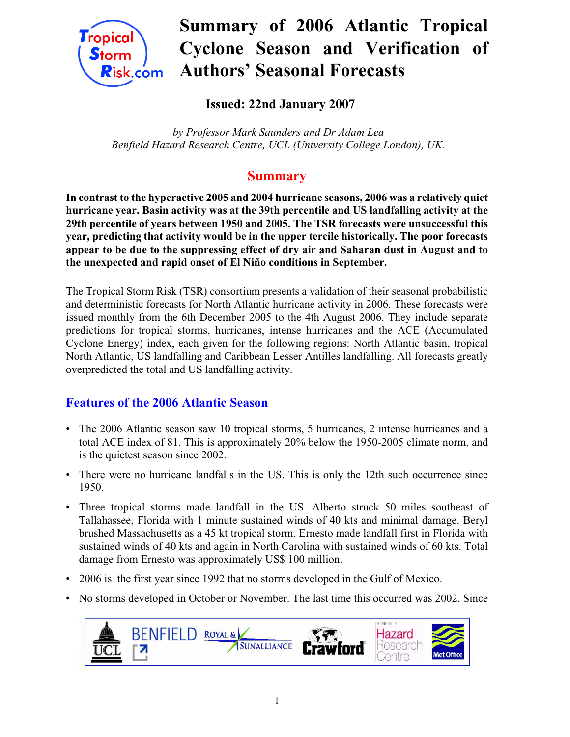

# **Summary of 2006 Atlantic Tropical Cyclone Season and Verification of Authors' Seasonal Forecasts**

 **Issued: 22nd January 2007**

 *by Professor Mark Saunders and Dr Adam Lea Benfield Hazard Research Centre, UCL (University College London), UK.*

## **Summary**

**In contrast to the hyperactive 2005 and 2004 hurricane seasons, 2006 was a relatively quiet hurricane year. Basin activity was at the 39th percentile and US landfalling activity at the 29th percentile of years between 1950 and 2005. The TSR forecasts were unsuccessful this year, predicting that activity would be in the upper tercile historically. The poor forecasts appear to be due to the suppressing effect of dry air and Saharan dust in August and to the unexpected and rapid onset of El Niño conditions in September.**

The Tropical Storm Risk (TSR) consortium presents a validation of their seasonal probabilistic and deterministic forecasts for North Atlantic hurricane activity in 2006. These forecasts were issued monthly from the 6th December 2005 to the 4th August 2006. They include separate predictions for tropical storms, hurricanes, intense hurricanes and the ACE (Accumulated Cyclone Energy) index, each given for the following regions: North Atlantic basin, tropical North Atlantic, US landfalling and Caribbean Lesser Antilles landfalling. All forecasts greatly overpredicted the total and US landfalling activity.

## **Features of the 2006 Atlantic Season**

- The 2006 Atlantic season saw 10 tropical storms, 5 hurricanes, 2 intense hurricanes and a total ACE index of 81. This is approximately 20% below the 1950-2005 climate norm, and is the quietest season since 2002.
- There were no hurricane landfalls in the US. This is only the 12th such occurrence since 1950.
- Three tropical storms made landfall in the US. Alberto struck 50 miles southeast of Tallahassee, Florida with 1 minute sustained winds of 40 kts and minimal damage. Beryl brushed Massachusetts as a 45 kt tropical storm. Ernesto made landfall first in Florida with sustained winds of 40 kts and again in North Carolina with sustained winds of 60 kts. Total damage from Ernesto was approximately US\$ 100 million.
- 2006 is the first year since 1992 that no storms developed in the Gulf of Mexico.
- No storms developed in October or November. The last time this occurred was 2002. Since

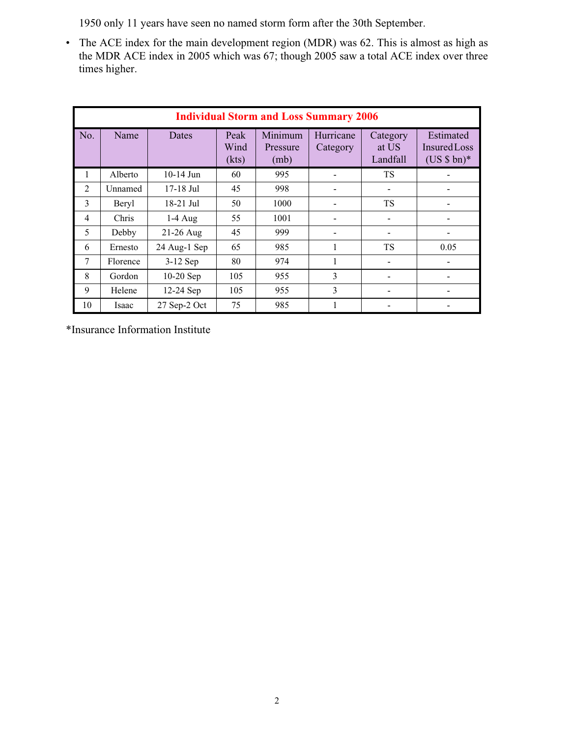1950 only 11 years have seen no named storm form after the 30th September.

• The ACE index for the main development region (MDR) was 62. This is almost as high as the MDR ACE index in 2005 which was 67; though 2005 saw a total ACE index over three times higher.

|                | <b>Individual Storm and Loss Summary 2006</b> |              |                       |                             |                       |                               |                                                 |
|----------------|-----------------------------------------------|--------------|-----------------------|-----------------------------|-----------------------|-------------------------------|-------------------------------------------------|
| No.            | Name                                          | Dates        | Peak<br>Wind<br>(kts) | Minimum<br>Pressure<br>(mb) | Hurricane<br>Category | Category<br>at US<br>Landfall | Estimated<br><b>Insured Loss</b><br>$(US $bn)*$ |
| 1              | Alberto                                       | $10-14$ Jun  | 60                    | 995                         |                       | TS                            |                                                 |
| 2              | Unnamed                                       | $17-18$ Jul  | 45                    | 998                         |                       |                               |                                                 |
| 3              | Beryl                                         | $18-21$ Jul  | 50                    | 1000                        |                       | TS                            |                                                 |
| $\overline{4}$ | Chris                                         | $1-4$ Aug    | 55                    | 1001                        |                       |                               |                                                 |
| 5              | Debby                                         | 21-26 Aug    | 45                    | 999                         |                       |                               |                                                 |
| 6              | Ernesto                                       | 24 Aug-1 Sep | 65                    | 985                         |                       | TS                            | 0.05                                            |
| $\overline{7}$ | Florence                                      | $3-12$ Sep   | 80                    | 974                         | 1                     |                               |                                                 |
| 8              | Gordon                                        | $10-20$ Sep  | 105                   | 955                         | 3                     |                               |                                                 |
| 9              | Helene                                        | $12-24$ Sep  | 105                   | 955                         | 3                     |                               |                                                 |
| 10             | Isaac                                         | 27 Sep-2 Oct | 75                    | 985                         |                       |                               |                                                 |

\*Insurance Information Institute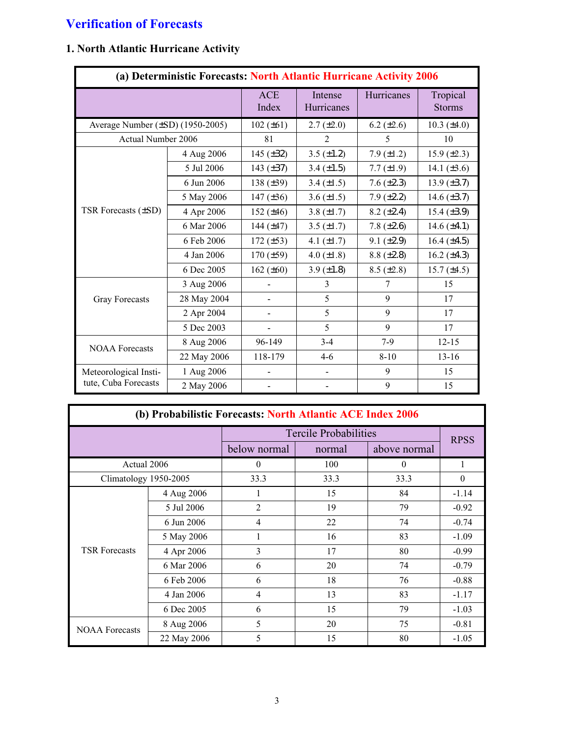## **Verification of Forecasts**

| (a) Deterministic Forecasts: North Atlantic Hurricane Activity 2006 |             |                |                          |                 |                           |
|---------------------------------------------------------------------|-------------|----------------|--------------------------|-----------------|---------------------------|
|                                                                     |             | ACE<br>Index   | Intense<br>Hurricanes    | Hurricanes      | Tropical<br><b>Storms</b> |
| Average Number $(\pm SD)$ (1950-2005)                               |             | $102 (\pm 61)$ | $2.7 (\pm 2.0)$          | 6.2 $(\pm 2.6)$ | 10.3 $(\pm 4.0)$          |
| Actual Number 2006                                                  |             | 81             | $\overline{2}$           | 5               | 10                        |
|                                                                     | 4 Aug 2006  | 145 $(\pm 32)$ | 3.5 $(\pm 1.2)$          | 7.9 $(\pm 1.2)$ | 15.9 $(\pm 2.3)$          |
|                                                                     | 5 Jul 2006  | 143 $(\pm 37)$ | 3.4 $(\pm 1.5)$          | 7.7 $(\pm 1.9)$ | 14.1 $(\pm 3.6)$          |
|                                                                     | 6 Jun 2006  | 138 $(\pm 39)$ | 3.4 $(\pm 1.5)$          | 7.6 $(\pm 2.3)$ | 13.9 $(\pm 3.7)$          |
|                                                                     | 5 May 2006  | 147 $(\pm 36)$ | 3.6 $(\pm 1.5)$          | 7.9 $(\pm 2.2)$ | 14.6 $(\pm 3.7)$          |
| TSR Forecasts (±SD)                                                 | 4 Apr 2006  | 152 $(\pm 46)$ | 3.8 $(\pm 1.7)$          | $8.2 (\pm 2.4)$ | 15.4 $(\pm 3.9)$          |
|                                                                     | 6 Mar 2006  | 144 $(\pm 47)$ | 3.5 $(\pm 1.7)$          | 7.8 $(\pm 2.6)$ | 14.6 $(\pm 4.1)$          |
|                                                                     | 6 Feb 2006  | 172 $(\pm 53)$ | 4.1 $(\pm 1.7)$          | $9.1 (\pm 2.9)$ | 16.4 $(\pm 4.5)$          |
|                                                                     | 4 Jan 2006  | $170 (\pm 59)$ | 4.0 $(\pm 1.8)$          | $8.8 (\pm 2.8)$ | 16.2 $(\pm 4.3)$          |
|                                                                     | 6 Dec 2005  | 162 $(\pm 60)$ | 3.9 $(\pm 1.8)$          | $8.5 (\pm 2.8)$ | 15.7 $(\pm 4.5)$          |
|                                                                     | 3 Aug 2006  |                | 3                        | 7               | 15                        |
| <b>Gray Forecasts</b>                                               | 28 May 2004 |                | 5                        | 9               | 17                        |
|                                                                     | 2 Apr 2004  |                | 5                        | 9               | 17                        |
|                                                                     | 5 Dec 2003  | $\blacksquare$ | 5                        | 9               | 17                        |
| <b>NOAA Forecasts</b>                                               | 8 Aug 2006  | 96-149         | $3 - 4$                  | $7-9$           | $12 - 15$                 |
|                                                                     | 22 May 2006 | 118-179        | $4 - 6$                  | $8 - 10$        | $13 - 16$                 |
| Meteorological Insti-                                               | 1 Aug 2006  |                | $\overline{\phantom{a}}$ | 9               | 15                        |
| tute, Cuba Forecasts                                                | 2 May 2006  |                |                          | 9               | 15                        |

## **1. North Atlantic Hurricane Activity**

| (b) Probabilistic Forecasts: North Atlantic ACE Index 2006 |             |                |                              |              |             |  |
|------------------------------------------------------------|-------------|----------------|------------------------------|--------------|-------------|--|
|                                                            |             |                | <b>Tercile Probabilities</b> |              |             |  |
|                                                            |             |                | normal                       | above normal | <b>RPSS</b> |  |
| Actual 2006                                                |             | $\theta$       | 100                          | $\theta$     |             |  |
| Climatology 1950-2005                                      |             | 33.3           | 33.3                         | 33.3         | $\Omega$    |  |
|                                                            | 4 Aug 2006  | 1              | 15                           | 84           | $-1.14$     |  |
|                                                            | 5 Jul 2006  | $\overline{2}$ | 19                           | 79           | $-0.92$     |  |
|                                                            | 6 Jun 2006  | 4              | 22                           | 74           | $-0.74$     |  |
|                                                            | 5 May 2006  | 1              | 16                           | 83           | $-1.09$     |  |
| <b>TSR Forecasts</b>                                       | 4 Apr 2006  | 3              | 17                           | 80           | $-0.99$     |  |
|                                                            | 6 Mar 2006  | 6              | 20                           | 74           | $-0.79$     |  |
|                                                            | 6 Feb 2006  | 6              | 18                           | 76           | $-0.88$     |  |
|                                                            | 4 Jan 2006  | 4              | 13                           | 83           | $-1.17$     |  |
|                                                            | 6 Dec 2005  | 6              | 15                           | 79           | $-1.03$     |  |
| <b>NOAA</b> Forecasts                                      | 8 Aug 2006  | 5              | 20                           | 75           | $-0.81$     |  |
|                                                            | 22 May 2006 | 5              | 15                           | 80           | $-1.05$     |  |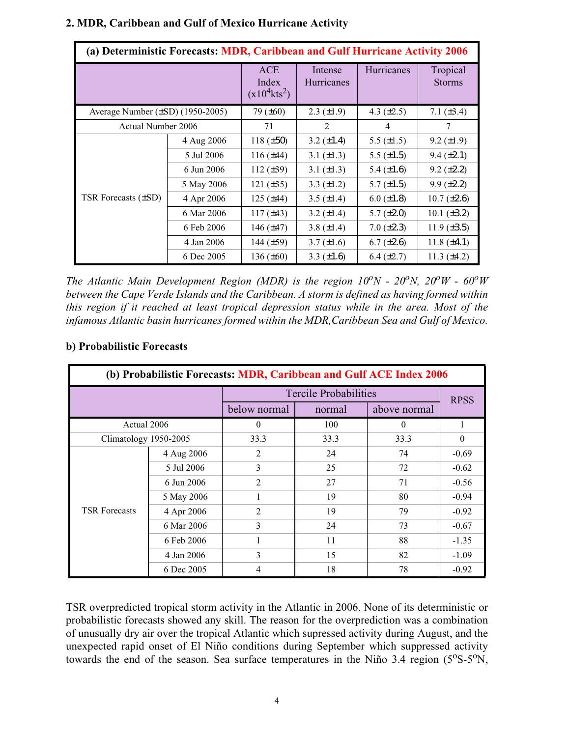| (a) Deterministic Forecasts: MDR, Caribbean and Gulf Hurricane Activity 2006 |            |                                                    |                       |                   |                           |
|------------------------------------------------------------------------------|------------|----------------------------------------------------|-----------------------|-------------------|---------------------------|
|                                                                              |            | <b>ACE</b><br>Index<br>$(x10^4$ kts <sup>2</sup> ) | Intense<br>Hurricanes | Hurricanes        | Tropical<br><b>Storms</b> |
| Average Number $(\pm SD)$ (1950-2005)                                        |            | 79 $(\pm 60)$                                      | $2.3 \ (\pm 1.9)$     | 4.3 $(\pm 2.5)$   | 7.1 $(\pm 3.4)$           |
| Actual Number 2006                                                           |            | 71                                                 | 2                     | $\overline{4}$    | 7                         |
|                                                                              | 4 Aug 2006 | 118 $(\pm 50)$                                     | 3.2 $(\pm 1.4)$       | 5.5 $(\pm 1.5)$   | $9.2 \ (\pm 1.9)$         |
|                                                                              | 5 Jul 2006 | $116 (\pm 44)$                                     | 3.1 $(\pm 1.3)$       | 5.5 $(\pm 1.5)$   | $9.4 (\pm 2.1)$           |
|                                                                              | 6 Jun 2006 | 112 $(\pm 39)$                                     | 3.1 $(\pm 1.3)$       | 5.4 $(\pm 1.6)$   | $9.2 \ (\pm 2.2)$         |
|                                                                              | 5 May 2006 | 121 $(\pm 35)$                                     | 3.3 $(\pm 1.2)$       | $5.7 \ (\pm 1.5)$ | $9.9 (\pm 2.2)$           |
| TSR Forecasts $(\pm SD)$                                                     | 4 Apr 2006 | $125 (\pm 44)$                                     | 3.5 $(\pm 1.4)$       | $6.0 (\pm 1.8)$   | $10.7 (\pm 2.6)$          |
|                                                                              | 6 Mar 2006 | $117 (\pm 43)$                                     | 3.2 $(\pm 1.4)$       | 5.7 $(\pm 2.0)$   | 10.1 $(\pm 3.2)$          |
|                                                                              | 6 Feb 2006 | 146 $(\pm 47)$                                     | 3.8 $(\pm 1.4)$       | 7.0 $(\pm 2.3)$   | 11.9 $(\pm 3.5)$          |
|                                                                              | 4 Jan 2006 | 144 $(\pm 59)$                                     | $3.7 \ (\pm 1.6)$     | $6.7 (\pm 2.6)$   | 11.8 $(\pm 4.1)$          |
|                                                                              | 6 Dec 2005 | 136 $(\pm 60)$                                     | 3.3 $(\pm 1.6)$       | $6.4 (\pm 2.7)$   | 11.3 $(\pm 4.2)$          |

#### **2. MDR, Caribbean and Gulf of Mexico Hurricane Activity**

*The Atlantic Main Development Region (MDR) is the region*  $10^{\circ}N - 20^{\circ}N$ *,*  $20^{\circ}W - 60^{\circ}W$ *between the Cape Verde Islands and the Caribbean. A storm is defined as having formed within this region if it reached at least tropical depression status while in the area. Most of the infamous Atlantic basin hurricanes formed within the MDR,Caribbean Sea and Gulf of Mexico.*

#### **b) Probabilistic Forecasts**

| (b) Probabilistic Forecasts: MDR, Caribbean and Gulf ACE Index 2006 |            |              |                              |              |             |
|---------------------------------------------------------------------|------------|--------------|------------------------------|--------------|-------------|
|                                                                     |            |              | <b>Tercile Probabilities</b> |              | <b>RPSS</b> |
|                                                                     |            | below normal | normal                       | above normal |             |
| Actual 2006                                                         |            | 0            | 100                          | 0            |             |
| Climatology 1950-2005                                               |            | 33.3         | 33.3                         | 33.3         | $\Omega$    |
|                                                                     | 4 Aug 2006 | 2            | 24                           | 74           | $-0.69$     |
|                                                                     | 5 Jul 2006 | 3            | 25                           | 72           | $-0.62$     |
|                                                                     | 6 Jun 2006 | 2            | 27                           | 71           | $-0.56$     |
|                                                                     | 5 May 2006 |              | 19                           | 80           | $-0.94$     |
| <b>TSR Forecasts</b>                                                | 4 Apr 2006 | 2            | 19                           | 79           | $-0.92$     |
|                                                                     | 6 Mar 2006 | 3            | 24                           | 73           | $-0.67$     |
|                                                                     | 6 Feb 2006 |              | 11                           | 88           | $-1.35$     |
|                                                                     | 4 Jan 2006 | 3            | 15                           | 82           | $-1.09$     |
|                                                                     | 6 Dec 2005 | 4            | 18                           | 78           | $-0.92$     |

TSR overpredicted tropical storm activity in the Atlantic in 2006. None of its deterministic or probabilistic forecasts showed any skill. The reason for the overprediction was a combination of unusually dry air over the tropical Atlantic which supressed activity during August, and the unexpected rapid onset of El Niño conditions during September which suppressed activity towards the end of the season. Sea surface temperatures in the Niño 3.4 region  $(5^{\circ}S-5^{\circ}N,$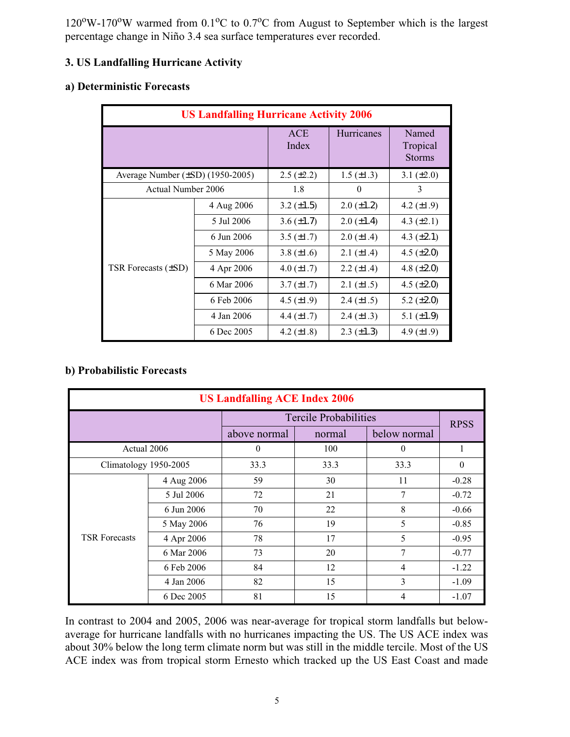$120^{\circ}$ W-170<sup>o</sup>W warmed from 0.1<sup>o</sup>C to 0.7<sup>o</sup>C from August to September which is the largest percentage change in Niño 3.4 sea surface temperatures ever recorded.

#### **3. US Landfalling Hurricane Activity**

## **a) Deterministic Forecasts**

| <b>US Landfalling Hurricane Activity 2006</b> |            |                     |                   |                                    |  |  |
|-----------------------------------------------|------------|---------------------|-------------------|------------------------------------|--|--|
|                                               |            | <b>ACE</b><br>Index | Hurricanes        | Named<br>Tropical<br><b>Storms</b> |  |  |
| Average Number $(\pm SD)$ (1950-2005)         |            | $2.5 (\pm 2.2)$     | $1.5 \ (\pm 1.3)$ | 3.1 $(\pm 2.0)$                    |  |  |
| <b>Actual Number 2006</b>                     |            | 1.8                 | $\theta$          | 3                                  |  |  |
|                                               | 4 Aug 2006 | 3.2 $(\pm 1.5)$     | $2.0 (\pm 1.2)$   | 4.2 $(\pm 1.9)$                    |  |  |
|                                               | 5 Jul 2006 | 3.6 $(\pm 1.7)$     | $2.0 \ (\pm 1.4)$ | 4.3 $(\pm 2.1)$                    |  |  |
|                                               | 6 Jun 2006 | $3.5 (\pm 1.7)$     | $2.0 (\pm 1.4)$   | 4.3 $(\pm 2.1)$                    |  |  |
|                                               | 5 May 2006 | 3.8 $(\pm 1.6)$     | 2.1 $(\pm 1.4)$   | 4.5 $(\pm 2.0)$                    |  |  |
| TSR Forecasts $(\pm SD)$                      | 4 Apr 2006 | 4.0 $(\pm 1.7)$     | $2.2 \ (\pm 1.4)$ | 4.8 $(\pm 2.0)$                    |  |  |
|                                               | 6 Mar 2006 | $3.7 (\pm 1.7)$     | 2.1 $(\pm 1.5)$   | 4.5 $(\pm 2.0)$                    |  |  |
|                                               | 6 Feb 2006 | 4.5 $(\pm 1.9)$     | $2.4 (\pm 1.5)$   | 5.2 $(\pm 2.0)$                    |  |  |
|                                               | 4 Jan 2006 | 4.4 $(\pm 1.7)$     | $2.4 (\pm 1.3)$   | 5.1 $(\pm 1.9)$                    |  |  |
|                                               | 6 Dec 2005 | 4.2 $(\pm 1.8)$     | $2.3 \ (\pm 1.3)$ | 4.9 $(\pm 1.9)$                    |  |  |

#### **b) Probabilistic Forecasts**

| <b>US Landfalling ACE Index 2006</b> |            |                  |                              |                |             |
|--------------------------------------|------------|------------------|------------------------------|----------------|-------------|
|                                      |            |                  | <b>Tercile Probabilities</b> |                | <b>RPSS</b> |
|                                      |            | above normal     | normal                       | below normal   |             |
| Actual 2006                          |            | $\boldsymbol{0}$ | 100                          | $\theta$       | 1           |
| Climatology 1950-2005                |            | 33.3             | 33.3                         | 33.3           | $\theta$    |
|                                      | 4 Aug 2006 | 59               | 30                           | 11             | $-0.28$     |
|                                      | 5 Jul 2006 | 72               | 21                           | 7              | $-0.72$     |
|                                      | 6 Jun 2006 | 70               | 22                           | 8              | $-0.66$     |
|                                      | 5 May 2006 | 76               | 19                           | 5              | $-0.85$     |
| <b>TSR Forecasts</b>                 | 4 Apr 2006 | 78               | 17                           | 5              | $-0.95$     |
|                                      | 6 Mar 2006 | 73               | 20                           | 7              | $-0.77$     |
|                                      | 6 Feb 2006 | 84               | 12                           | $\overline{4}$ | $-1.22$     |
|                                      | 4 Jan 2006 | 82               | 15                           | 3              | $-1.09$     |
|                                      | 6 Dec 2005 | 81               | 15                           | 4              | $-1.07$     |

In contrast to 2004 and 2005, 2006 was near-average for tropical storm landfalls but belowaverage for hurricane landfalls with no hurricanes impacting the US. The US ACE index was about 30% below the long term climate norm but was still in the middle tercile. Most of the US ACE index was from tropical storm Ernesto which tracked up the US East Coast and made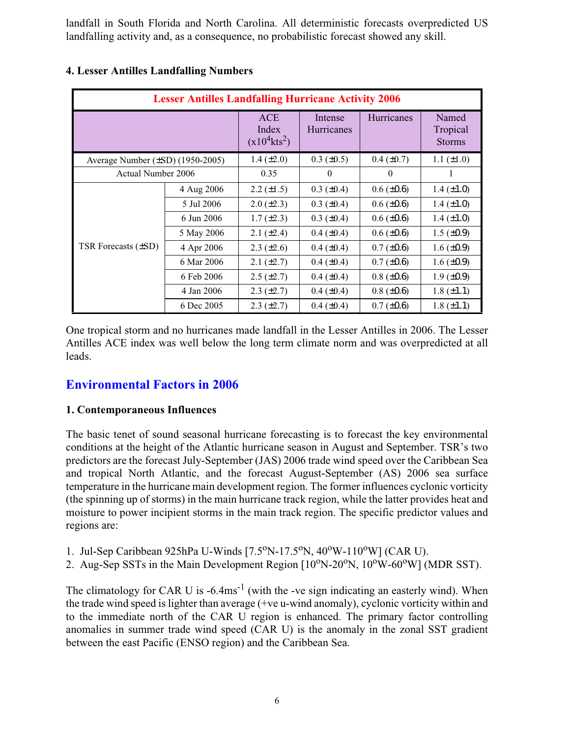landfall in South Florida and North Carolina. All deterministic forecasts overpredicted US landfalling activity and, as a consequence, no probabilistic forecast showed any skill.

| <b>Lesser Antilles Landfalling Hurricane Activity 2006</b> |            |                                                    |                       |                   |                                    |
|------------------------------------------------------------|------------|----------------------------------------------------|-----------------------|-------------------|------------------------------------|
|                                                            |            | <b>ACE</b><br>Index<br>$(x10^4$ kts <sup>2</sup> ) | Intense<br>Hurricanes | <b>Hurricanes</b> | Named<br>Tropical<br><b>Storms</b> |
| Average Number $(\pm SD)$ (1950-2005)                      |            | $1.4 (\pm 2.0)$                                    | $0.3 \ (\pm 0.5)$     | $0.4 (\pm 0.7)$   | $1.1 (\pm 1.0)$                    |
| <b>Actual Number 2006</b>                                  |            | 0.35                                               | $\theta$              | $\theta$          | 1                                  |
|                                                            | 4 Aug 2006 | $2.2 (\pm 1.5)$                                    | $0.3 (\pm 0.4)$       | $0.6 (\pm 0.6)$   | $1.4 (\pm 1.0)$                    |
|                                                            | 5 Jul 2006 | $2.0 (\pm 2.3)$                                    | $0.3 \ (\pm 0.4)$     | $0.6 (\pm 0.6)$   | 1.4 $(\pm 1.0)$                    |
|                                                            | 6 Jun 2006 | $1.7 (\pm 2.3)$                                    | $0.3 \ (\pm 0.4)$     | $0.6 (\pm 0.6)$   | $1.4 (\pm 1.0)$                    |
|                                                            | 5 May 2006 | $2.1 (\pm 2.4)$                                    | $0.4 (\pm 0.4)$       | $0.6 (\pm 0.6)$   | $1.5 \ (\pm 0.9)$                  |
| TSR Forecasts $(\pm SD)$                                   | 4 Apr 2006 | $2.3 \ (\pm 2.6)$                                  | $0.4 \ (\pm 0.4)$     | $0.7 (\pm 0.6)$   | $1.6 \ (\pm 0.9)$                  |
|                                                            | 6 Mar 2006 | $2.1 (\pm 2.7)$                                    | $0.4 (\pm 0.4)$       | $0.7 (\pm 0.6)$   | 1.6 $(\pm 0.9)$                    |
|                                                            | 6 Feb 2006 | $2.5 (\pm 2.7)$                                    | $0.4 \ (\pm 0.4)$     | $0.8 (\pm 0.6)$   | $1.9 \ (\pm 0.9)$                  |
|                                                            | 4 Jan 2006 | $2.3 (\pm 2.7)$                                    | $0.4 (\pm 0.4)$       | $0.8 (\pm 0.6)$   | $1.8 (\pm 1.1)$                    |
|                                                            | 6 Dec 2005 | $2.3 (\pm 2.7)$                                    | $0.4 (\pm 0.4)$       | $0.7 (\pm 0.6)$   | $1.8 (\pm 1.1)$                    |

#### **4. Lesser Antilles Landfalling Numbers**

One tropical storm and no hurricanes made landfall in the Lesser Antilles in 2006. The Lesser Antilles ACE index was well below the long term climate norm and was overpredicted at all leads.

## **Environmental Factors in 2006**

#### **1. Contemporaneous Influences**

The basic tenet of sound seasonal hurricane forecasting is to forecast the key environmental conditions at the height of the Atlantic hurricane season in August and September. TSR's two predictors are the forecast July-September (JAS) 2006 trade wind speed over the Caribbean Sea and tropical North Atlantic, and the forecast August-September (AS) 2006 sea surface temperature in the hurricane main development region. The former influences cyclonic vorticity (the spinning up of storms) in the main hurricane track region, while the latter provides heat and moisture to power incipient storms in the main track region. The specific predictor values and regions are:

- 1. Jul-Sep Caribbean 925hPa U-Winds  $[7.5^{\circ}N-17.5^{\circ}N, 40^{\circ}W-110^{\circ}W]$  (CAR U).
- 2. Aug-Sep SSTs in the Main Development Region  $[10^{\circ}N-20^{\circ}N, 10^{\circ}W-60^{\circ}W]$  (MDR SST).

The climatology for CAR U is  $-6.4\text{ms}^{-1}$  (with the -ve sign indicating an easterly wind). When the trade wind speed is lighter than average (+ve u-wind anomaly), cyclonic vorticity within and to the immediate north of the CAR U region is enhanced. The primary factor controlling anomalies in summer trade wind speed (CAR U) is the anomaly in the zonal SST gradient between the east Pacific (ENSO region) and the Caribbean Sea.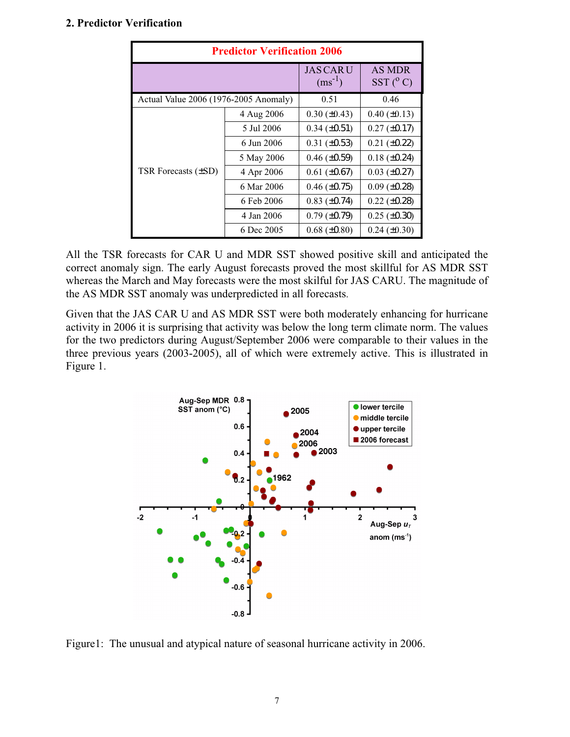#### **2. Predictor Verification**

| <b>Predictor Verification 2006</b>    |            |                                 |                                   |  |  |
|---------------------------------------|------------|---------------------------------|-----------------------------------|--|--|
|                                       |            | <b>JAS CAR U</b><br>$(ms^{-1})$ | <b>AS MDR</b><br>$SST(^{\circ}C)$ |  |  |
| Actual Value 2006 (1976-2005 Anomaly) |            | 0.51                            | 0.46                              |  |  |
|                                       | 4 Aug 2006 | $0.30 (\pm 0.43)$               | $0.40 (\pm 0.13)$                 |  |  |
|                                       | 5 Jul 2006 | $0.34 \ (\pm 0.51)$             | $0.27 (\pm 0.17)$                 |  |  |
|                                       | 6 Jun 2006 | $0.31 (\pm 0.53)$               | $0.21 (\pm 0.22)$                 |  |  |
|                                       | 5 May 2006 | $0.46 \ (\pm 0.59)$             | $0.18 (\pm 0.24)$                 |  |  |
| TSR Forecasts $(\pm SD)$              | 4 Apr 2006 | $0.61 (\pm 0.67)$               | $0.03 \ (\pm 0.27)$               |  |  |
|                                       | 6 Mar 2006 | $0.46 \ (\pm 0.75)$             | $0.09 \ (\pm 0.28)$               |  |  |
|                                       | 6 Feb 2006 | $0.83 \ (\pm 0.74)$             | $0.22 (\pm 0.28)$                 |  |  |
|                                       | 4 Jan 2006 | $0.79 \ (\pm 0.79)$             | $0.25 (\pm 0.30)$                 |  |  |
|                                       | 6 Dec 2005 | $0.68 (\pm 0.80)$               | $0.24 (\pm 0.30)$                 |  |  |

All the TSR forecasts for CAR U and MDR SST showed positive skill and anticipated the correct anomaly sign. The early August forecasts proved the most skillful for AS MDR SST whereas the March and May forecasts were the most skilful for JAS CARU. The magnitude of the AS MDR SST anomaly was underpredicted in all forecasts.

Given that the JAS CAR U and AS MDR SST were both moderately enhancing for hurricane activity in 2006 it is surprising that activity was below the long term climate norm. The values for the two predictors during August/September 2006 were comparable to their values in the three previous years (2003-2005), all of which were extremely active. This is illustrated in Figure 1.



Figure1: The unusual and atypical nature of seasonal hurricane activity in 2006.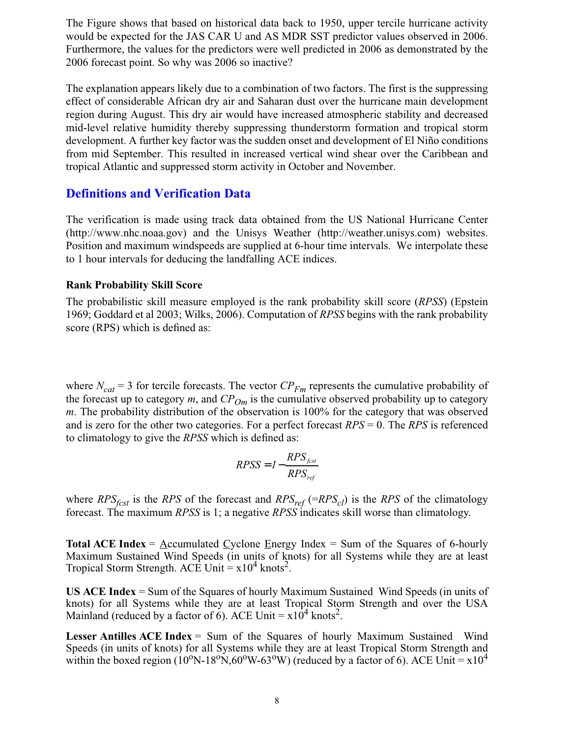The Figure shows that based on historical data back to 1950, upper tercile hurricane activity would be expected for the JAS CAR U and AS MDR SST predictor values observed in 2006. Furthermore, the values for the predictors were well predicted in 2006 as demonstrated by the 2006 forecast point. So why was 2006 so inactive?

The explanation appears likely due to a combination of two factors. The first is the suppressing effect of considerable African dry air and Saharan dust over the hurricane main development region during August. This dry air would have increased atmospheric stability and decreased mid-level relative humidity thereby suppressing thunderstorm formation and tropical storm development. A further key factor was the sudden onset and development of El Niño conditions from mid September. This resulted in increased vertical wind shear over the Caribbean and tropical Atlantic and suppressed storm activity in October and November.

#### **Definitions and Verification Data**

The verification is made using track data obtained from the US National Hurricane Center (http://www.nhc.noaa.gov) and the Unisys Weather (http://weather.unisys.com) websites. Position and maximum windspeeds are supplied at 6-hour time intervals. We interpolate these to 1 hour intervals for deducing the landfalling ACE indices.

#### **Rank Probability Skill Score**

The probabilistic skill measure employed is the rank probability skill score (*RPSS*) (Epstein 1969; Goddard et al 2003; Wilks, 2006). Computation of *RPSS* begins with the rank probability score (RPS) which is defined as:

where  $N_{cat}$  = 3 for tercile forecasts. The vector  $CP_{Fm}$  represents the cumulative probability of the forecast up to category *m*, and *CPOm* is the cumulative observed probability up to category *m*. The probability distribution of the observation is 100% for the category that was observed and is zero for the other two categories. For a perfect forecast *RPS* = 0. The *RPS* is referenced to climatology to give the *RPSS* which is defined as:

$$
RPSS = 1 - \frac{RPS_{fest}}{RPS_{ref}}
$$

where  $RPS_{fcsf}$  is the *RPS* of the forecast and  $RPS_{ref}$  (= $RPS_{cl}$ ) is the *RPS* of the climatology forecast. The maximum *RPSS* is 1; a negative *RPSS* indicates skill worse than climatology.

**Total ACE Index** = Accumulated Cyclone Energy Index = Sum of the Squares of 6-hourly Maximum Sustained Wind Speeds (in units of knots) for all Systems while they are at least Tropical Storm Strength. ACE Unit  $= x10^4$  knots<sup>2</sup>.

**US ACE Index** = Sum of the Squares of hourly Maximum Sustained Wind Speeds (in units of knots) for all Systems while they are at least Tropical Storm Strength and over the USA Mainland (reduced by a factor of 6). ACE Unit =  $x10^4$  knots<sup>2</sup>.

**Lesser Antilles ACE Index** = Sum of the Squares of hourly Maximum Sustained Wind Speeds (in units of knots) for all Systems while they are at least Tropical Storm Strength and within the boxed region (10<sup>o</sup>N-18<sup>o</sup>N,60<sup>o</sup>W-63<sup>o</sup>W) (reduced by a factor of 6). ACE Unit =  $x10^4$